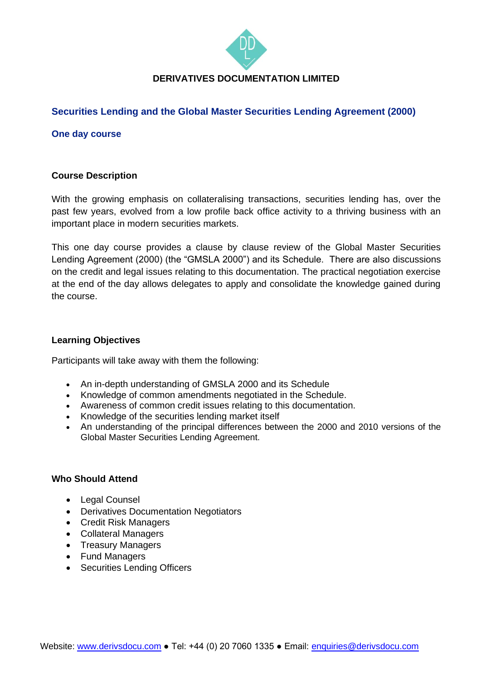

# **DERIVATIVES DOCUMENTATION LIMITED**

# **Securities Lending and the Global Master Securities Lending Agreement (2000)**

**One day course**

### **Course Description**

With the growing emphasis on collateralising transactions, securities lending has, over the past few years, evolved from a low profile back office activity to a thriving business with an important place in modern securities markets.

This one day course provides a clause by clause review of the Global Master Securities Lending Agreement (2000) (the "GMSLA 2000") and its Schedule. There are also discussions on the credit and legal issues relating to this documentation. The practical negotiation exercise at the end of the day allows delegates to apply and consolidate the knowledge gained during the course.

### **Learning Objectives**

Participants will take away with them the following:

- An in-depth understanding of GMSLA 2000 and its Schedule
- Knowledge of common amendments negotiated in the Schedule.
- Awareness of common credit issues relating to this documentation.
- Knowledge of the securities lending market itself
- An understanding of the principal differences between the 2000 and 2010 versions of the Global Master Securities Lending Agreement.

#### **Who Should Attend**

- Legal Counsel
- Derivatives Documentation Negotiators
- Credit Risk Managers
- Collateral Managers
- Treasury Managers
- Fund Managers
- Securities Lending Officers